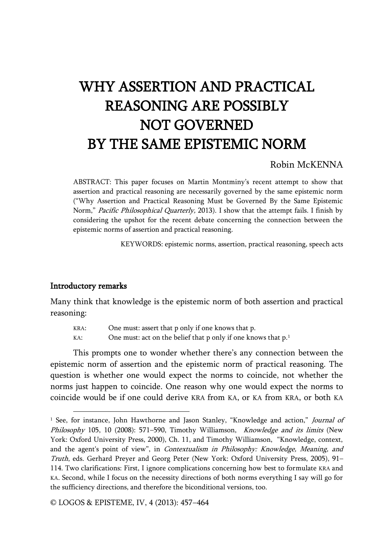# WHY ASSERTION AND PRACTICAL REASONING ARE POSSIBLY NOT GOVERNED BY THE SAME EPISTEMIC NORM

# Robin McKENNA

ABSTRACT: This paper focuses on Martin Montminy's recent attempt to show that assertion and practical reasoning are necessarily governed by the same epistemic norm ("Why Assertion and Practical Reasoning Must be Governed By the Same Epistemic Norm," Pacific Philosophical Quarterly, 2013). I show that the attempt fails. I finish by considering the upshot for the recent debate concerning the connection between the epistemic norms of assertion and practical reasoning.

KEYWORDS: epistemic norms, assertion, practical reasoning, speech acts

#### Introductory remarks

j

Many think that knowledge is the epistemic norm of both assertion and practical reasoning:

KRA: One must: assert that p only if one knows that p.

KA: One must: act on the belief that p only if one knows that  $p<sup>1</sup>$ 

This prompts one to wonder whether there's any connection between the epistemic norm of assertion and the epistemic norm of practical reasoning. The question is whether one would expect the norms to coincide, not whether the norms just happen to coincide. One reason why one would expect the norms to coincide would be if one could derive KRA from KA, or KA from KRA, or both KA

© LOGOS & EPISTEME, IV, 4 (2013): 457–464

<sup>&</sup>lt;sup>1</sup> See, for instance, John Hawthorne and Jason Stanley, "Knowledge and action," *Journal of* Philosophy 105, 10 (2008): 571-590, Timothy Williamson, Knowledge and its limits (New York: Oxford University Press, 2000), Ch. 11, and Timothy Williamson, "Knowledge, context, and the agent's point of view", in Contextualism in Philosophy: Knowledge, Meaning, and Truth, eds. Gerhard Preyer and Georg Peter (New York: Oxford University Press, 2005), 91– 114. Two clarifications: First, I ignore complications concerning how best to formulate KRA and KA. Second, while I focus on the necessity directions of both norms everything I say will go for the sufficiency directions, and therefore the biconditional versions, too.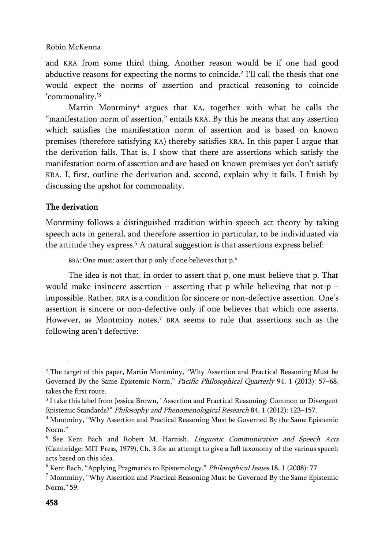and KRA from some third thing. Another reason would be if one had good abductive reasons for expecting the norms to coincide.<sup>2</sup> I'll call the thesis that one would expect the norms of assertion and practical reasoning to coincide 'commonality.'<sup>3</sup>

Martin Montminy<sup>4</sup> argues that KA, together with what he calls the "manifestation norm of assertion," entails KRA. By this he means that any assertion which satisfies the manifestation norm of assertion and is based on known premises (therefore satisfying KA) thereby satisfies KRA. In this paper I argue that the derivation fails. That is, I show that there are assertions which satisfy the manifestation norm of assertion and are based on known premises yet don't satisfy KRA. I, first, outline the derivation and, second, explain why it fails. I finish by discussing the upshot for commonality.

# The derivation

j

Montminy follows a distinguished tradition within speech act theory by taking speech acts in general, and therefore assertion in particular, to be individuated via the attitude they express.<sup>5</sup> A natural suggestion is that assertions express belief:

BRA: One must: assert that p only if one believes that p.<sup>6</sup>

The idea is not that, in order to assert that p, one must believe that p. That would make insincere assertion – asserting that p while believing that not-p – impossible. Rather, BRA is a condition for sincere or non-defective assertion. One's assertion is sincere or non-defective only if one believes that which one asserts. However, as Montminy notes,<sup>7</sup> BRA seems to rule that assertions such as the following aren't defective:

<sup>2</sup> The target of this paper, Martin Montminy, "Why Assertion and Practical Reasoning Must be Governed By the Same Epistemic Norm," Pacific Philosophical Quarterly 94, 1 (2013): 57–68, takes the first route.

<sup>3</sup> I take this label from Jessica Brown, "Assertion and Practical Reasoning: Common or Divergent Epistemic Standards?" Philosophy and Phenomenological Research 84, 1 (2012): 123–157.

<sup>4</sup> Montminy, "Why Assertion and Practical Reasoning Must be Governed By the Same Epistemic Norm."

<sup>&</sup>lt;sup>5</sup> See Kent Bach and Robert M. Harnish, *Linguistic Communication and Speech Acts* (Cambridge: MIT Press, 1979), Ch. 3 for an attempt to give a full taxonomy of the various speech acts based on this idea.

 $6$  Kent Bach, "Applying Pragmatics to Epistemology," Philosophical Issues 18, 1 (2008): 77.

 $7$  Montminy, "Why Assertion and Practical Reasoning Must be Governed By the Same Epistemic Norm," 59.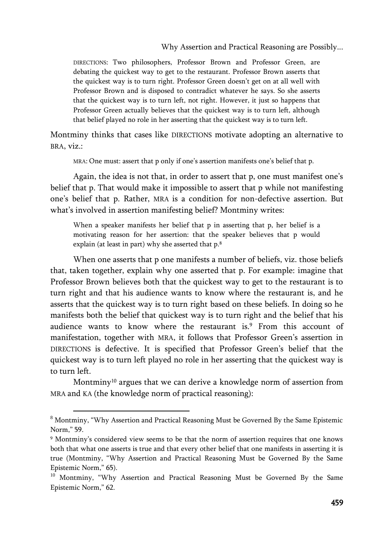#### Why Assertion and Practical Reasoning are Possibly...

DIRECTIONS: Two philosophers, Professor Brown and Professor Green, are debating the quickest way to get to the restaurant. Professor Brown asserts that the quickest way is to turn right. Professor Green doesn't get on at all well with Professor Brown and is disposed to contradict whatever he says. So she asserts that the quickest way is to turn left, not right. However, it just so happens that Professor Green actually believes that the quickest way is to turn left, although that belief played no role in her asserting that the quickest way is to turn left.

Montminy thinks that cases like DIRECTIONS motivate adopting an alternative to BRA, viz.:

MRA: One must: assert that p only if one's assertion manifests one's belief that p.

Again, the idea is not that, in order to assert that p, one must manifest one's belief that p. That would make it impossible to assert that p while not manifesting one's belief that p. Rather, MRA is a condition for non-defective assertion. But what's involved in assertion manifesting belief? Montminy writes:

When a speaker manifests her belief that p in asserting that p, her belief is a motivating reason for her assertion: that the speaker believes that p would explain (at least in part) why she asserted that p.<sup>8</sup>

When one asserts that p one manifests a number of beliefs, viz. those beliefs that, taken together, explain why one asserted that p. For example: imagine that Professor Brown believes both that the quickest way to get to the restaurant is to turn right and that his audience wants to know where the restaurant is, and he asserts that the quickest way is to turn right based on these beliefs. In doing so he manifests both the belief that quickest way is to turn right and the belief that his audience wants to know where the restaurant is.<sup>9</sup> From this account of manifestation, together with MRA, it follows that Professor Green's assertion in DIRECTIONS is defective. It is specified that Professor Green's belief that the quickest way is to turn left played no role in her asserting that the quickest way is to turn left.

Montminy<sup>10</sup> argues that we can derive a knowledge norm of assertion from MRA and KA (the knowledge norm of practical reasoning):

<sup>8</sup> Montminy, "Why Assertion and Practical Reasoning Must be Governed By the Same Epistemic Norm," 59.

<sup>9</sup> Montminy's considered view seems to be that the norm of assertion requires that one knows both that what one asserts is true and that every other belief that one manifests in asserting it is true (Montminy, "Why Assertion and Practical Reasoning Must be Governed By the Same Epistemic Norm," 65).

<sup>&</sup>lt;sup>10</sup> Montminy, "Why Assertion and Practical Reasoning Must be Governed By the Same Epistemic Norm," 62.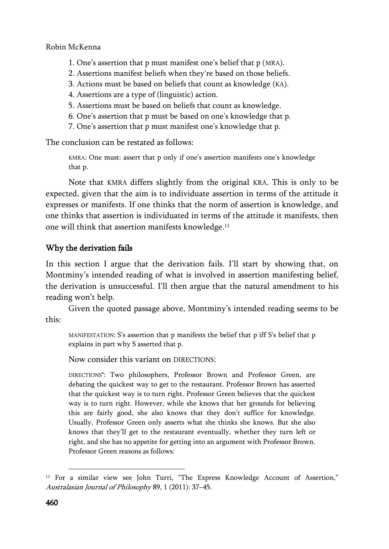- 1. One's assertion that p must manifest one's belief that p (MRA).
- 2. Assertions manifest beliefs when they're based on those beliefs.
- 3. Actions must be based on beliefs that count as knowledge (KA).
- 4. Assertions are a type of (linguistic) action.
- 5. Assertions must be based on beliefs that count as knowledge.
- 6. One's assertion that p must be based on one's knowledge that p.
- 7. One's assertion that p must manifest one's knowledge that p.

The conclusion can be restated as follows:

KMRA: One must: assert that p only if one's assertion manifests one's knowledge that p.

Note that KMRA differs slightly from the original KRA. This is only to be expected, given that the aim is to individuate assertion in terms of the attitude it expresses or manifests. If one thinks that the norm of assertion is knowledge, and one thinks that assertion is individuated in terms of the attitude it manifests, then one will think that assertion manifests knowledge.<sup>11</sup>

# Why the derivation fails

In this section I argue that the derivation fails. I'll start by showing that, on Montminy's intended reading of what is involved in assertion manifesting belief, the derivation is unsuccessful. I'll then argue that the natural amendment to his reading won't help.

Given the quoted passage above, Montminy's intended reading seems to be this:

MANIFESTATION: S's assertion that p manifests the belief that p iff S's belief that p explains in part why S asserted that p.

Now consider this variant on DIRECTIONS:

DIRECTIONS\*: Two philosophers, Professor Brown and Professor Green, are debating the quickest way to get to the restaurant. Professor Brown has asserted that the quickest way is to turn right. Professor Green believes that the quickest way is to turn right. However, while she knows that her grounds for believing this are fairly good, she also knows that they don't suffice for knowledge. Usually, Professor Green only asserts what she thinks she knows. But she also knows that they'll get to the restaurant eventually, whether they turn left or right, and she has no appetite for getting into an argument with Professor Brown. Professor Green reasons as follows:

<sup>&</sup>lt;sup>11</sup> For a similar view see John Turri, "The Express Knowledge Account of Assertion," Australasian Journal of Philosophy 89, 1 (2011): 37–45.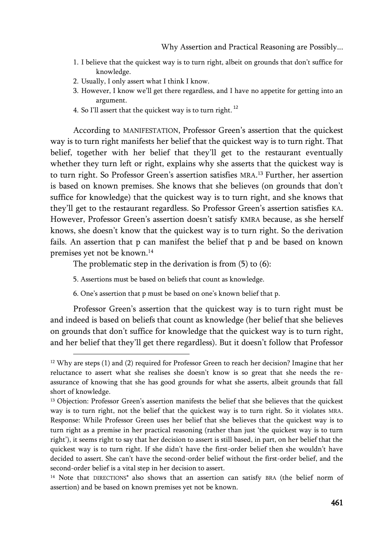- 1. I believe that the quickest way is to turn right, albeit on grounds that don't suffice for knowledge.
- 2. Usually, I only assert what I think I know.
- 3. However, I know we'll get there regardless, and I have no appetite for getting into an argument.
- 4. So I'll assert that the quickest way is to turn right.<sup>12</sup>

According to MANIFESTATION, Professor Green's assertion that the quickest way is to turn right manifests her belief that the quickest way is to turn right. That belief, together with her belief that they'll get to the restaurant eventually whether they turn left or right, explains why she asserts that the quickest way is to turn right. So Professor Green's assertion satisfies MRA. <sup>13</sup> Further, her assertion is based on known premises. She knows that she believes (on grounds that don't suffice for knowledge) that the quickest way is to turn right, and she knows that they'll get to the restaurant regardless. So Professor Green's assertion satisfies KA. However, Professor Green's assertion doesn't satisfy KMRA because, as she herself knows, she doesn't know that the quickest way is to turn right. So the derivation fails. An assertion that p can manifest the belief that p and be based on known premises yet not be known.<sup>14</sup>

The problematic step in the derivation is from (5) to (6):

5. Assertions must be based on beliefs that count as knowledge.

j

6. One's assertion that p must be based on one's known belief that p.

Professor Green's assertion that the quickest way is to turn right must be and indeed is based on beliefs that count as knowledge (her belief that she believes on grounds that don't suffice for knowledge that the quickest way is to turn right, and her belief that they'll get there regardless). But it doesn't follow that Professor

 $12$  Why are steps (1) and (2) required for Professor Green to reach her decision? Imagine that her reluctance to assert what she realises she doesn't know is so great that she needs the reassurance of knowing that she has good grounds for what she asserts, albeit grounds that fall short of knowledge.

<sup>&</sup>lt;sup>13</sup> Objection: Professor Green's assertion manifests the belief that she believes that the quickest way is to turn right, not the belief that the quickest way is to turn right. So it violates MRA. Response: While Professor Green uses her belief that she believes that the quickest way is to turn right as a premise in her practical reasoning (rather than just 'the quickest way is to turn right'), it seems right to say that her decision to assert is still based, in part, on her belief that the quickest way is to turn right. If she didn't have the first-order belief then she wouldn't have decided to assert. She can't have the second-order belief without the first-order belief, and the second-order belief is a vital step in her decision to assert.

<sup>&</sup>lt;sup>14</sup> Note that DIRECTIONS<sup>\*</sup> also shows that an assertion can satisfy BRA (the belief norm of assertion) and be based on known premises yet not be known.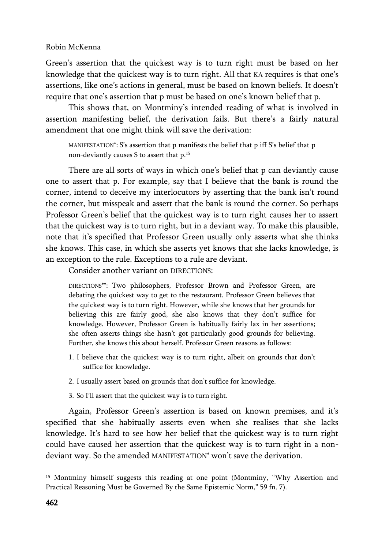Green's assertion that the quickest way is to turn right must be based on her knowledge that the quickest way is to turn right. All that KA requires is that one's assertions, like one's actions in general, must be based on known beliefs. It doesn't require that one's assertion that p must be based on one's known belief that p.

This shows that, on Montminy's intended reading of what is involved in assertion manifesting belief, the derivation fails. But there's a fairly natural amendment that one might think will save the derivation:

MANIFESTATION\*: S's assertion that p manifests the belief that p iff S's belief that p non-deviantly causes S to assert that p.<sup>15</sup>

There are all sorts of ways in which one's belief that p can deviantly cause one to assert that p. For example, say that I believe that the bank is round the corner, intend to deceive my interlocutors by asserting that the bank isn't round the corner, but misspeak and assert that the bank is round the corner. So perhaps Professor Green's belief that the quickest way is to turn right causes her to assert that the quickest way is to turn right, but in a deviant way. To make this plausible, note that it's specified that Professor Green usually only asserts what she thinks she knows. This case, in which she asserts yet knows that she lacks knowledge, is an exception to the rule. Exceptions to a rule are deviant.

Consider another variant on DIRECTIONS:

DIRECTIONS\*\*: Two philosophers, Professor Brown and Professor Green, are debating the quickest way to get to the restaurant. Professor Green believes that the quickest way is to turn right. However, while she knows that her grounds for believing this are fairly good, she also knows that they don't suffice for knowledge. However, Professor Green is habitually fairly lax in her assertions; she often asserts things she hasn't got particularly good grounds for believing. Further, she knows this about herself. Professor Green reasons as follows:

- 1. I believe that the quickest way is to turn right, albeit on grounds that don't suffice for knowledge.
- 2. I usually assert based on grounds that don't suffice for knowledge.
- 3. So I'll assert that the quickest way is to turn right.

Again, Professor Green's assertion is based on known premises, and it's specified that she habitually asserts even when she realises that she lacks knowledge. It's hard to see how her belief that the quickest way is to turn right could have caused her assertion that the quickest way is to turn right in a nondeviant way. So the amended MANIFESTATION\* won't save the derivation.

<sup>15</sup> Montminy himself suggests this reading at one point (Montminy, "Why Assertion and Practical Reasoning Must be Governed By the Same Epistemic Norm," 59 fn. 7).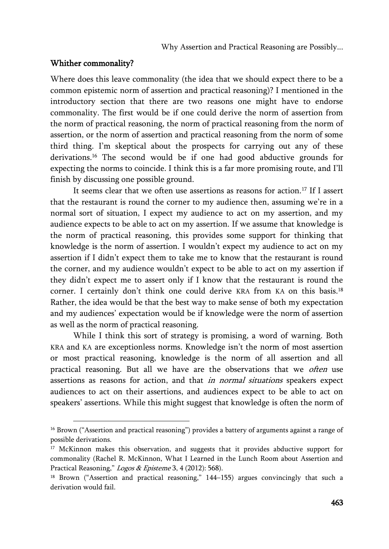## Whither commonality?

j

Where does this leave commonality (the idea that we should expect there to be a common epistemic norm of assertion and practical reasoning)? I mentioned in the introductory section that there are two reasons one might have to endorse commonality. The first would be if one could derive the norm of assertion from the norm of practical reasoning, the norm of practical reasoning from the norm of assertion, or the norm of assertion and practical reasoning from the norm of some third thing. I'm skeptical about the prospects for carrying out any of these derivations.<sup>16</sup> The second would be if one had good abductive grounds for expecting the norms to coincide. I think this is a far more promising route, and I'll finish by discussing one possible ground.

It seems clear that we often use assertions as reasons for action.<sup>17</sup> If I assert that the restaurant is round the corner to my audience then, assuming we're in a normal sort of situation, I expect my audience to act on my assertion, and my audience expects to be able to act on my assertion. If we assume that knowledge is the norm of practical reasoning, this provides some support for thinking that knowledge is the norm of assertion. I wouldn't expect my audience to act on my assertion if I didn't expect them to take me to know that the restaurant is round the corner, and my audience wouldn't expect to be able to act on my assertion if they didn't expect me to assert only if I know that the restaurant is round the corner. I certainly don't think one could derive KRA from KA on this basis.<sup>18</sup> Rather, the idea would be that the best way to make sense of both my expectation and my audiences' expectation would be if knowledge were the norm of assertion as well as the norm of practical reasoning.

While I think this sort of strategy is promising, a word of warning. Both KRA and KA are exceptionless norms. Knowledge isn't the norm of most assertion or most practical reasoning, knowledge is the norm of all assertion and all practical reasoning. But all we have are the observations that we often use assertions as reasons for action, and that in normal situations speakers expect audiences to act on their assertions, and audiences expect to be able to act on speakers' assertions. While this might suggest that knowledge is often the norm of

<sup>&</sup>lt;sup>16</sup> Brown ("Assertion and practical reasoning") provides a battery of arguments against a range of possible derivations.

<sup>&</sup>lt;sup>17</sup> McKinnon makes this observation, and suggests that it provides abductive support for commonality (Rachel R. McKinnon, What I Learned in the Lunch Room about Assertion and Practical Reasoning," Logos & Episteme 3, 4 (2012): 568).

<sup>&</sup>lt;sup>18</sup> Brown ("Assertion and practical reasoning," 144-155) argues convincingly that such a derivation would fail.